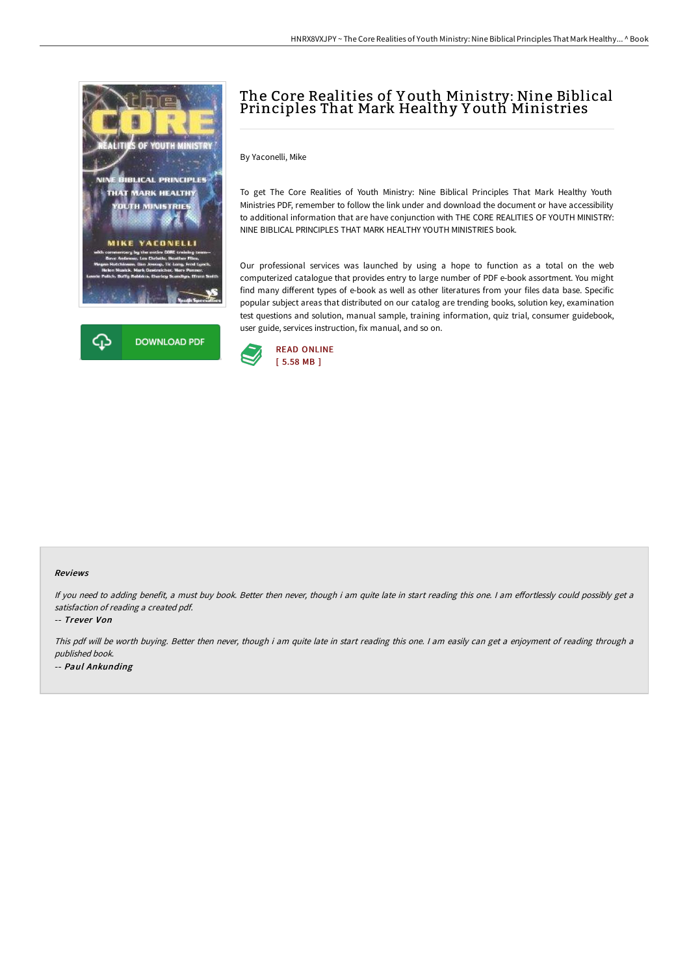



# The Core Realities of Y outh Ministry: Nine Biblical Principles That Mark Healthy Y outh Ministries

By Yaconelli, Mike

To get The Core Realities of Youth Ministry: Nine Biblical Principles That Mark Healthy Youth Ministries PDF, remember to follow the link under and download the document or have accessibility to additional information that are have conjunction with THE CORE REALITIES OF YOUTH MINISTRY: NINE BIBLICAL PRINCIPLES THAT MARK HEALTHY YOUTH MINISTRIES book.

Our professional services was launched by using a hope to function as a total on the web computerized catalogue that provides entry to large number of PDF e-book assortment. You might find many different types of e-book as well as other literatures from your files data base. Specific popular subject areas that distributed on our catalog are trending books, solution key, examination test questions and solution, manual sample, training information, quiz trial, consumer guidebook, user guide, services instruction, fix manual, and so on.



#### Reviews

If you need to adding benefit, a must buy book. Better then never, though i am quite late in start reading this one. I am effortlessly could possibly get a satisfaction of reading <sup>a</sup> created pdf.

-- Trever Von

This pdf will be worth buying. Better then never, though i am quite late in start reading this one. <sup>I</sup> am easily can get <sup>a</sup> enjoyment of reading through <sup>a</sup> published book. -- Paul Ankunding